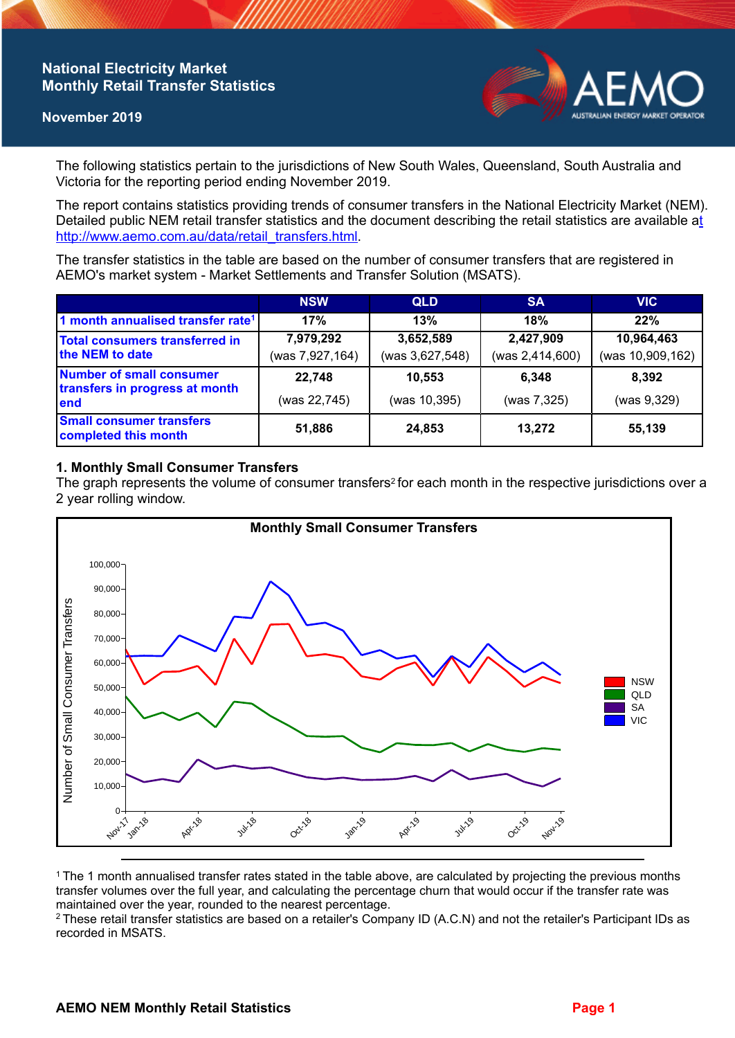# **National Electricity Market Monthly Retail Transfer Statistics**

#### **November 2019**



The following statistics pertain to the jurisdictions of New South Wales, Queensland, South Australia and Victoria for the reporting period ending November 2019.

The report contains statistics providing trends of consumer transfers in the National Electricity Market (NEM). Detailed public NEM retail transfer statistics and the document describing the retail statistics are available a[t](http://www.aemo.com.au/data/retail_transfers.html)  http://www.aemo.com.au/data/retail\_transfers.html

The transfer statistics in the table are based on the number of consumer transfers that are registered in AEMO's market system - Market Settlements and Transfer Solution (MSATS).

|                                                                    | <b>NSW</b>                   | <b>QLD</b>                   | <b>SA</b>                    | <b>VIC</b>                     |
|--------------------------------------------------------------------|------------------------------|------------------------------|------------------------------|--------------------------------|
| 1 month annualised transfer rate <sup>1</sup>                      | 17%                          | 13%                          | 18%                          | 22%                            |
| Total consumers transferred in<br>the NEM to date                  | 7,979,292<br>(was 7,927,164) | 3,652,589<br>(was 3,627,548) | 2,427,909<br>(was 2,414,600) | 10,964,463<br>(was 10,909,162) |
| Number of small consumer<br>transfers in progress at month<br>lend | 22,748<br>(was 22,745)       | 10,553<br>(was 10,395)       | 6.348<br>(was 7,325)         | 8.392<br>(was 9,329)           |
| <b>Small consumer transfers</b><br>completed this month            | 51,886                       | 24,853                       | 13,272                       | 55,139                         |

## **1. Monthly Small Consumer Transfers**

The graph represents the volume of consumer transfers<sup>2</sup> for each month in the respective jurisdictions over a 2 year rolling window.



<sup>1</sup>The 1 month annualised transfer rates stated in the table above, are calculated by projecting the previous months transfer volumes over the full year, and calculating the percentage churn that would occur if the transfer rate was maintained over the year, rounded to the nearest percentage.

<sup>2</sup> These retail transfer statistics are based on a retailer's Company ID (A.C.N) and not the retailer's Participant IDs as recorded in MSATS.